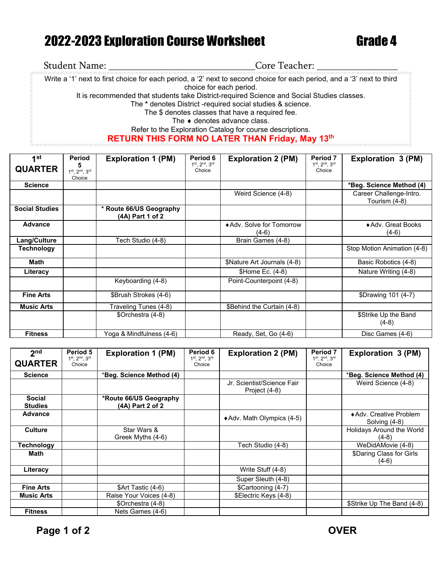## 2022-2023 Exploration Course Worksheet Grade 4

## Student Name: \_\_\_\_\_\_\_\_\_\_\_\_\_\_\_\_\_\_\_\_\_\_\_\_\_\_\_\_\_Core Teacher: \_\_\_\_\_\_\_\_\_\_\_\_\_\_\_\_ Write a '1' next to first choice for each period, a '2' next to second choice for each period, and a '3' next to third choice for each period. It is recommended that students take District-required Science and Social Studies classes. The **\*** denotes District -required social studies & science. The \$ denotes classes that have a required fee. The ♦ denotes advance class. Refer to the Exploration Catalog for course descriptions. **RETURN THIS FORM NO LATER THAN Friday, May 13th**

| 1st                   | <b>Period</b>                                 | <b>Exploration 1 (PM)</b>                   | Period 6                | <b>Exploration 2 (PM)</b>            | <b>Period 7</b>         | <b>Exploration 3 (PM)</b>                |
|-----------------------|-----------------------------------------------|---------------------------------------------|-------------------------|--------------------------------------|-------------------------|------------------------------------------|
| <b>QUARTER</b>        | 5<br>$1^{st}$ , $2^{nd}$ , $3^{rd}$<br>Choice |                                             | 1st, 2nd, 3rd<br>Choice |                                      | 1st, 2nd, 3rd<br>Choice |                                          |
| <b>Science</b>        |                                               |                                             |                         |                                      |                         | *Beg. Science Method (4)                 |
|                       |                                               |                                             |                         | Weird Science (4-8)                  |                         | Career Challenge-Intro.<br>Tourism (4-8) |
| <b>Social Studies</b> |                                               | * Route 66/US Geography<br>(4A) Part 1 of 2 |                         |                                      |                         |                                          |
| Advance               |                                               |                                             |                         | ◆ Adv. Solve for Tomorrow<br>$(4-6)$ |                         | ◆ Adv. Great Books<br>$(4-6)$            |
| Lang/Culture          |                                               | Tech Studio (4-8)                           |                         | Brain Games (4-8)                    |                         |                                          |
| Technology            |                                               |                                             |                         |                                      |                         | Stop Motion Animation (4-8)              |
| <b>Math</b>           |                                               |                                             |                         | \$Nature Art Journals (4-8)          |                         | Basic Robotics (4-8)                     |
| Literacy              |                                               |                                             |                         | \$Home Ec. (4-8)                     |                         | Nature Writing (4-8)                     |
|                       |                                               | Keyboarding (4-8)                           |                         | Point-Counterpoint (4-8)             |                         |                                          |
| <b>Fine Arts</b>      |                                               | \$Brush Strokes (4-6)                       |                         |                                      |                         | \$Drawing 101 (4-7)                      |
| <b>Music Arts</b>     |                                               | Traveling Tunes (4-8)                       |                         | \$Behind the Curtain (4-8)           |                         |                                          |
|                       |                                               | \$Orchestra (4-8)                           |                         |                                      |                         | \$Strike Up the Band<br>$(4-8)$          |
| <b>Fitness</b>        |                                               | Yoga & Mindfulness (4-6)                    |                         | Ready, Set, Go (4-6)                 |                         | Disc Games (4-6)                         |

| 2 <sub>nd</sub>                 | Period 5                                 | <b>Exploration 1 (PM)</b>                  | Period 6                                 | <b>Exploration 2 (PM)</b>                   | Period <sub>7</sub>     | <b>Exploration 3 (PM)</b>                |
|---------------------------------|------------------------------------------|--------------------------------------------|------------------------------------------|---------------------------------------------|-------------------------|------------------------------------------|
| <b>QUARTER</b>                  | $1^{st}$ , $2^{nd}$ , $3^{rd}$<br>Choice |                                            | $1^{st}$ . $2^{nd}$ . $3^{rd}$<br>Choice |                                             | 1st, 2nd, 3rd<br>Choice |                                          |
| <b>Science</b>                  |                                          | *Beg. Science Method (4)                   |                                          |                                             |                         | *Beg. Science Method (4)                 |
|                                 |                                          |                                            |                                          | Jr. Scientist/Science Fair<br>Project (4-8) |                         | Weird Science (4-8)                      |
| <b>Social</b><br><b>Studies</b> |                                          | *Route 66/US Geography<br>(4A) Part 2 of 2 |                                          |                                             |                         |                                          |
| <b>Advance</b>                  |                                          |                                            |                                          | ◆ Adv. Math Olympics (4-5)                  |                         | ◆ Adv. Creative Problem<br>Solving (4-8) |
| <b>Culture</b>                  |                                          | Star Wars &<br>Greek Myths (4-6)           |                                          |                                             |                         | Holidays Around the World<br>$(4-8)$     |
| Technology                      |                                          |                                            |                                          | Tech Studio (4-8)                           |                         | WeDidAMovie (4-8)                        |
| Math                            |                                          |                                            |                                          |                                             |                         | \$Daring Class for Girls<br>$(4-6)$      |
| Literacy                        |                                          |                                            |                                          | Write Stuff (4-8)                           |                         |                                          |
|                                 |                                          |                                            |                                          | Super Sleuth (4-8)                          |                         |                                          |
| <b>Fine Arts</b>                |                                          | \$Art Tastic (4-6)                         |                                          | \$Cartooning (4-7)                          |                         |                                          |
| <b>Music Arts</b>               |                                          | Raise Your Voices (4-8)                    |                                          | \$Electric Keys (4-8)                       |                         |                                          |
|                                 |                                          | \$Orchestra (4-8)                          |                                          |                                             |                         | \$Strike Up The Band (4-8)               |
| <b>Fitness</b>                  |                                          | Nets Games (4-6)                           |                                          |                                             |                         |                                          |